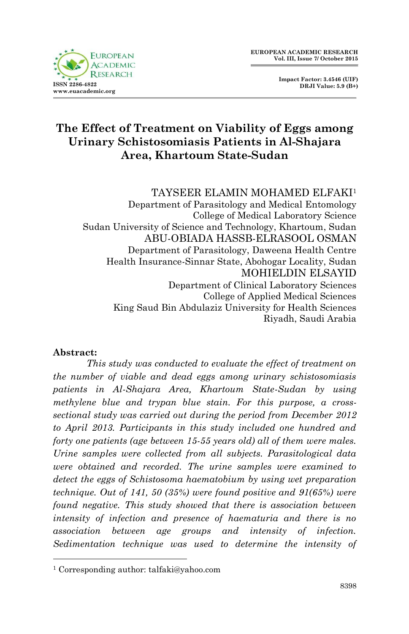

 **Impact Factor: 3.4546 (UIF) DRJI Value: 5.9 (B+)**

# **The Effect of Treatment on Viability of Eggs among Urinary Schistosomiasis Patients in Al-Shajara Area, Khartoum State-Sudan**

TAYSEER ELAMIN MOHAMED ELFAKI<sup>1</sup> Department of Parasitology and Medical Entomology College of Medical Laboratory Science Sudan University of Science and Technology, Khartoum, Sudan ABU-OBIADA HASSB-ELRASOOL OSMAN Department of Parasitology, Daweena Health Centre Health Insurance-Sinnar State, Abohogar Locality, Sudan MOHIELDIN ELSAYID Department of Clinical Laboratory Sciences College of Applied Medical Sciences King Saud Bin Abdulaziz University for Health Sciences Riyadh, Saudi Arabia

#### **Abstract:**

1

*This study was conducted to evaluate the effect of treatment on the number of viable and dead eggs among urinary schistosomiasis patients in Al-Shajara Area, Khartoum State-Sudan by using methylene blue and trypan blue stain. For this purpose, a crosssectional study was carried out during the period from December 2012 to April 2013. Participants in this study included one hundred and forty one patients (age between 15-55 years old) all of them were males. Urine samples were collected from all subjects. Parasitological data were obtained and recorded. The urine samples were examined to detect the eggs of Schistosoma haematobium by using wet preparation technique. Out of 141, 50 (35%) were found positive and 91(65%) were found negative. This study showed that there is association between intensity of infection and presence of haematuria and there is no association between age groups and intensity of infection. Sedimentation technique was used to determine the intensity of* 

<sup>1</sup> Corresponding author: talfaki@yahoo.com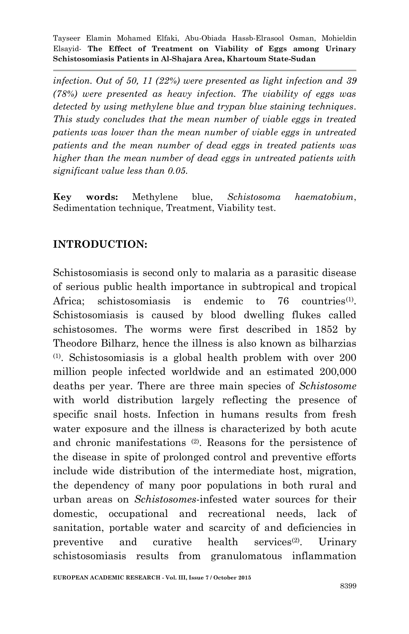*infection. Out of 50, 11 (22%) were presented as light infection and 39 (78%) were presented as heavy infection. The viability of eggs was detected by using methylene blue and trypan blue staining techniques. This study concludes that the mean number of viable eggs in treated patients was lower than the mean number of viable eggs in untreated patients and the mean number of dead eggs in treated patients was higher than the mean number of dead eggs in untreated patients with significant value less than 0.05.*

**Key words:** Methylene blue, *Schistosoma haematobium*, Sedimentation technique, Treatment, Viability test.

# **INTRODUCTION:**

Schistosomiasis is second only to malaria as a parasitic disease of serious public health importance in subtropical and tropical Africa: schistosomiasis is endemic to 76 countries $(1)$ . Schistosomiasis is caused by blood dwelling flukes called schistosomes. The worms were first described in 1852 by Theodore Bilharz, hence the illness is also known as bilharzias (1) . Schistosomiasis is a global health problem with over 200 million people infected worldwide and an estimated 200,000 deaths per year. There are three main species of *Schistosome* with world distribution largely reflecting the presence of specific snail hosts. Infection in humans results from fresh water exposure and the illness is characterized by both acute and chronic manifestations (2). Reasons for the persistence of the disease in spite of prolonged control and preventive efforts include wide distribution of the intermediate host, migration, the dependency of many poor populations in both rural and urban areas on *Schistosomes*-infested water sources for their domestic, occupational and recreational needs, lack of sanitation, portable water and scarcity of and deficiencies in preventive and curative health services<sup>(2)</sup>. . Urinary schistosomiasis results from granulomatous inflammation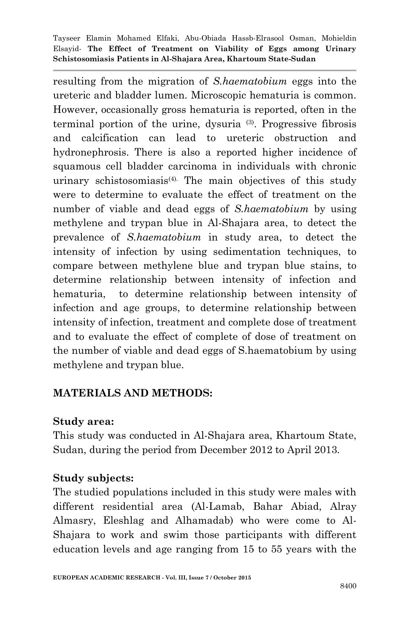resulting from the migration of *S.haematobium* eggs into the ureteric and bladder lumen. Microscopic hematuria is common. However, occasionally gross hematuria is reported, often in the terminal portion of the urine, dysuria (3) . Progressive fibrosis and calcification can lead to ureteric obstruction and hydronephrosis. There is also a reported higher incidence of squamous cell bladder carcinoma in individuals with chronic urinary schistosomiasis<sup>(4).</sup> The main objectives of this study were to determine to evaluate the effect of treatment on the number of viable and dead eggs of *S.haematobium* by using methylene and trypan blue in Al-Shajara area, to detect the prevalence of *S.haematobium* in study area, to detect the intensity of infection by using sedimentation techniques, to compare between methylene blue and trypan blue stains, to determine relationship between intensity of infection and hematuria, to determine relationship between intensity of infection and age groups, to determine relationship between intensity of infection, treatment and complete dose of treatment and to evaluate the effect of complete of dose of treatment on the number of viable and dead eggs of S.haematobium by using methylene and trypan blue.

# **MATERIALS AND METHODS:**

### **Study area:**

This study was conducted in Al-Shajara area, Khartoum State, Sudan, during the period from December 2012 to April 2013.

### **Study subjects:**

The studied populations included in this study were males with different residential area (Al-Lamab, Bahar Abiad, Alray Almasry, Eleshlag and Alhamadab) who were come to Al-Shajara to work and swim those participants with different education levels and age ranging from 15 to 55 years with the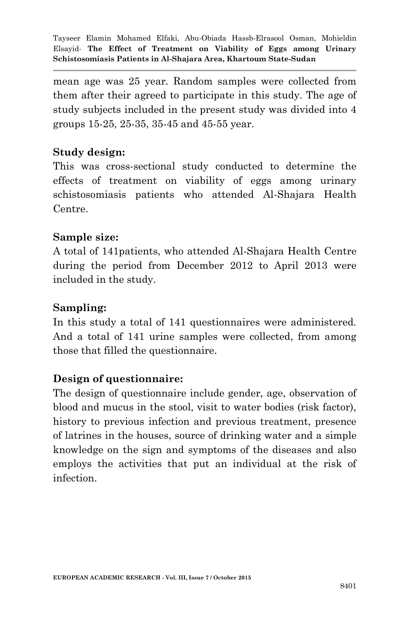mean age was 25 year. Random samples were collected from them after their agreed to participate in this study. The age of study subjects included in the present study was divided into 4 groups 15-25, 25-35, 35-45 and 45-55 year.

## **Study design:**

This was cross-sectional study conducted to determine the effects of treatment on viability of eggs among urinary schistosomiasis patients who attended Al-Shajara Health Centre.

### **Sample size:**

A total of 141patients, who attended Al-Shajara Health Centre during the period from December 2012 to April 2013 were included in the study.

#### **Sampling:**

In this study a total of 141 questionnaires were administered. And a total of 141 urine samples were collected, from among those that filled the questionnaire.

### **Design of questionnaire:**

The design of questionnaire include gender, age, observation of blood and mucus in the stool, visit to water bodies (risk factor), history to previous infection and previous treatment, presence of latrines in the houses, source of drinking water and a simple knowledge on the sign and symptoms of the diseases and also employs the activities that put an individual at the risk of infection.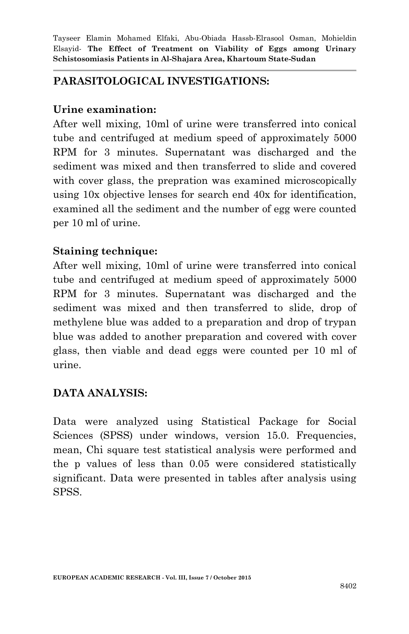## **PARASITOLOGICAL INVESTIGATIONS:**

### **Urine examination:**

After well mixing, 10ml of urine were transferred into conical tube and centrifuged at medium speed of approximately 5000 RPM for 3 minutes. Supernatant was discharged and the sediment was mixed and then transferred to slide and covered with cover glass, the prepration was examined microscopically using 10x objective lenses for search end 40x for identification, examined all the sediment and the number of egg were counted per 10 ml of urine.

### **Staining technique:**

After well mixing, 10ml of urine were transferred into conical tube and centrifuged at medium speed of approximately 5000 RPM for 3 minutes. Supernatant was discharged and the sediment was mixed and then transferred to slide, drop of methylene blue was added to a preparation and drop of trypan blue was added to another preparation and covered with cover glass, then viable and dead eggs were counted per 10 ml of urine.

# **DATA ANALYSIS:**

Data were analyzed using Statistical Package for Social Sciences (SPSS) under windows, version 15.0. Frequencies, mean, Chi square test statistical analysis were performed and the p values of less than 0.05 were considered statistically significant. Data were presented in tables after analysis using SPSS.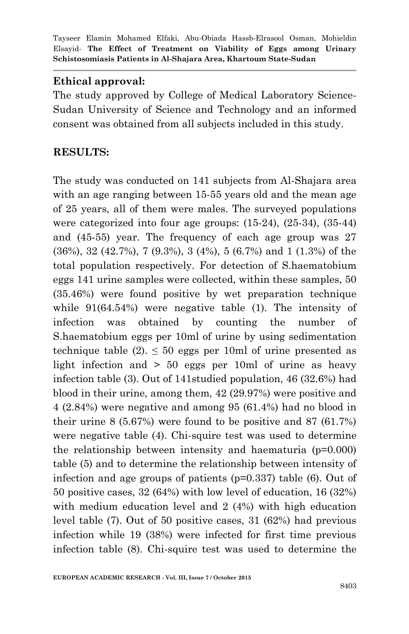## **Ethical approval:**

The study approved by College of Medical Laboratory Science-Sudan University of Science and Technology and an informed consent was obtained from all subjects included in this study.

## **RESULTS:**

The study was conducted on 141 subjects from Al-Shajara area with an age ranging between 15-55 years old and the mean age of 25 years, all of them were males. The surveyed populations were categorized into four age groups: (15-24), (25-34), (35-44) and (45-55) year. The frequency of each age group was 27 (36%), 32 (42.7%), 7 (9.3%), 3 (4%), 5 (6.7%) and 1 (1.3%) of the total population respectively. For detection of S.haematobium eggs 141 urine samples were collected, within these samples, 50 (35.46%) were found positive by wet preparation technique while 91(64.54%) were negative table (1). The intensity of infection was obtained by counting the number of S.haematobium eggs per 10ml of urine by using sedimentation technique table  $(2) \leq 50$  eggs per 10ml of urine presented as light infection and > 50 eggs per 10ml of urine as heavy infection table (3). Out of 141studied population, 46 (32.6%) had blood in their urine, among them, 42 (29.97%) were positive and 4 (2.84%) were negative and among 95 (61.4%) had no blood in their urine 8 (5.67%) were found to be positive and 87 (61.7%) were negative table (4). Chi-squire test was used to determine the relationship between intensity and haematuria  $(p=0.000)$ table (5) and to determine the relationship between intensity of infection and age groups of patients (p=0.337) table (6). Out of 50 positive cases, 32 (64%) with low level of education, 16 (32%) with medium education level and 2 (4%) with high education level table (7). Out of 50 positive cases, 31 (62%) had previous infection while 19 (38%) were infected for first time previous infection table (8). Chi-squire test was used to determine the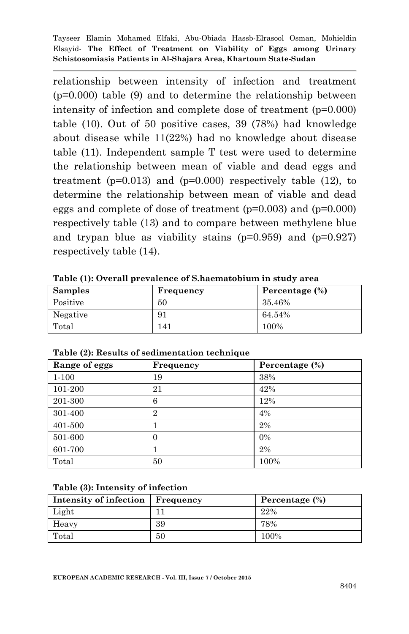relationship between intensity of infection and treatment (p=0.000) table (9) and to determine the relationship between intensity of infection and complete dose of treatment (p=0.000) table (10). Out of 50 positive cases, 39 (78%) had knowledge about disease while 11(22%) had no knowledge about disease table (11). Independent sample T test were used to determine the relationship between mean of viable and dead eggs and treatment  $(p=0.013)$  and  $(p=0.000)$  respectively table (12), to determine the relationship between mean of viable and dead eggs and complete of dose of treatment (p=0.003) and (p=0.000) respectively table (13) and to compare between methylene blue and trypan blue as viability stains ( $p=0.959$ ) and ( $p=0.927$ ) respectively table (14).

| <b>Samples</b> | Frequency | Percentage (%) |
|----------------|-----------|----------------|
| Positive       | 50        | 35.46%         |
| Negative       | 91        | 64.54%         |
| Total          | 141       | 100%           |

**Table (1): Overall prevalence of S.haematobium in study area**

| Range of eggs | Frequency      | Percentage (%) |
|---------------|----------------|----------------|
| $1 - 100$     | 19             | 38%            |
| 101-200       | 21             | 42%            |
| 201-300       | 6              | 12%            |
| 301-400       | $\overline{2}$ | $4\%$          |
| 401-500       |                | 2%             |
| 501-600       | $\Omega$       | $0\%$          |
| 601-700       |                | 2%             |
| Total         | 50             | 100%           |

**Table (2): Results of sedimentation technique**

**Table (3): Intensity of infection**

| Intensity of infection   Frequency |    | Percentage (%) |  |
|------------------------------------|----|----------------|--|
| Light                              |    | 22%            |  |
| Heavy                              | 39 | 78%            |  |
| Total                              | 50 | 100%           |  |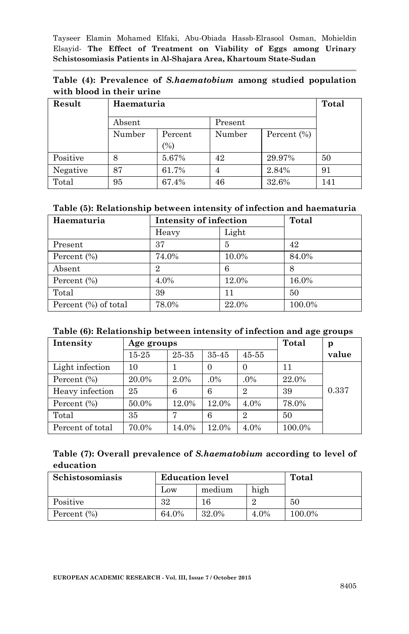| Table (4): Prevalence of S.haematobium among studied population |  |  |
|-----------------------------------------------------------------|--|--|
| with blood in their urine                                       |  |  |

| Result   | Haematuria        | Total   |                |             |     |
|----------|-------------------|---------|----------------|-------------|-----|
|          | Absent<br>Present |         |                |             |     |
|          | Number            | Percent | Number         | Percent (%) |     |
|          |                   | (%)     |                |             |     |
| Positive | 8                 | 5.67%   | 42             | 29.97%      | 50  |
| Negative | 87                | 61.7%   | $\overline{4}$ | 2.84%       | 91  |
| Total    | 95                | 67.4%   | 46             | 32.6%       | 141 |

#### **Table (5): Relationship between intensity of infection and haematuria**

| Haematuria           | Intensity of infection |       | Total  |
|----------------------|------------------------|-------|--------|
|                      | Heavy                  | Light |        |
| Present              | 37                     | 5     | 42     |
| Percent (%)          | 74.0%                  | 10.0% | 84.0%  |
| Absent               | $\overline{2}$         | 6     | 8      |
| Percent $(\%)$       | 4.0%                   | 12.0% | 16.0%  |
| Total                | 39                     | 11    | 50     |
| Percent (%) of total | 78.0%                  | 22.0% | 100.0% |

#### **Table (6): Relationship between intensity of infection and age groups**

| Intensity        |       | Age groups |       |                |        | р     |
|------------------|-------|------------|-------|----------------|--------|-------|
|                  | 15-25 | 25-35      | 35-45 | 45-55          |        | value |
| Light infection  | 10    |            |       | 0              | 11     |       |
| Percent $(\% )$  | 20.0% | 2.0%       | .0%   | .0%            | 22.0%  |       |
| Heavy infection  | 25    | 6          | 6     | $\overline{2}$ | 39     | 0.337 |
| Percent (%)      | 50.0% | 12.0%      | 12.0% | 4.0%           | 78.0%  |       |
| Total            | 35    | 7          | 6     | $\overline{2}$ | 50     |       |
| Percent of total | 70.0% | 14.0%      | 12.0% | 4.0%           | 100.0% |       |

#### **Table (7): Overall prevalence of** *S.haematobium* **according to level of education**

| Schistosomiasis | <b>Education level</b> |       | Total |        |
|-----------------|------------------------|-------|-------|--------|
|                 | high<br>medium<br>Low  |       |       |        |
| Positive        | 32                     |       |       | 50     |
| Percent $(\%)$  | 64.0%                  | 32.0% | 4.0%  | 100.0% |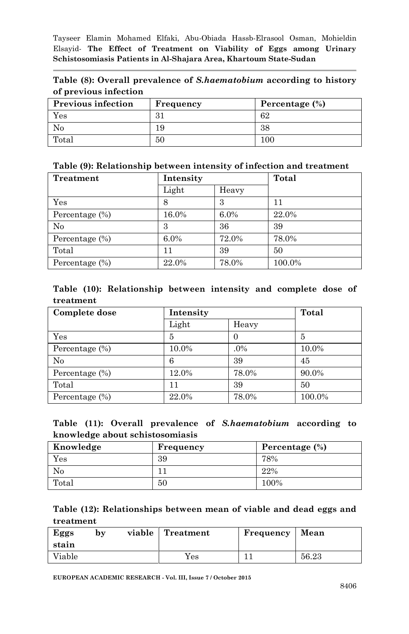|  |                       |  | Table (8): Overall prevalence of <i>S.haematobium</i> according to history |  |  |
|--|-----------------------|--|----------------------------------------------------------------------------|--|--|
|  | of previous infection |  |                                                                            |  |  |

| <b>Previous infection</b> | Frequency | Percentage (%) |  |
|---------------------------|-----------|----------------|--|
| Yes                       | 31        | 62             |  |
| No                        | ΙC        | 38             |  |
| Total                     | 50        | 100            |  |

#### **Table (9): Relationship between intensity of infection and treatment**

| Treatment         | Intensity |       | Total  |
|-------------------|-----------|-------|--------|
|                   | Light     | Heavy |        |
| Yes               | 8         | 3     | 11     |
| Percentage $(\%)$ | 16.0%     | 6.0%  | 22.0%  |
| $\rm No$          | З         | 36    | 39     |
| Percentage $(\%)$ | $6.0\%$   | 72.0% | 78.0%  |
| Total             | 11        | 39    | 50     |
| Percentage $(\%)$ | 22.0%     | 78.0% | 100.0% |

#### **Table (10): Relationship between intensity and complete dose of treatment**

| Complete dose     | Intensity |        | Total  |
|-------------------|-----------|--------|--------|
|                   | Light     | Heavy  |        |
| Yes               | 5         | 0      | 5      |
| Percentage $(\%)$ | 10.0%     | $.0\%$ | 10.0%  |
| No                | 6         | 39     | 45     |
| Percentage $(\%)$ | 12.0%     | 78.0%  | 90.0%  |
| Total             | 11        | 39     | 50     |
| Percentage $(\%)$ | 22.0%     | 78.0%  | 100.0% |

|  |                                 | Table (11): Overall prevalence of S.haematobium according to |  |
|--|---------------------------------|--------------------------------------------------------------|--|
|  | knowledge about schistosomiasis |                                                              |  |

| Knowledge | Frequency | Percentage (%) |
|-----------|-----------|----------------|
| Yes       | 39        | 78%            |
| No        |           | 22%            |
| Total     | 50        | 100%           |

#### **Table (12): Relationships between mean of viable and dead eggs and treatment**

| Eggs<br>stain | by | viable | Treatment | Frequency | Mean  |
|---------------|----|--------|-----------|-----------|-------|
| Viable        |    |        | Yes       |           | 56.23 |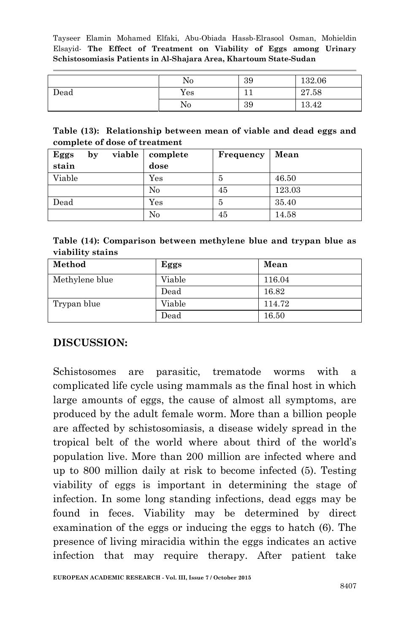|      | No       | 39 | 132.06 |
|------|----------|----|--------|
| Dead | Yes      | ∸∸ | 27.58  |
|      | $\rm No$ | 39 | 13.42  |

#### **Table (13): Relationship between mean of viable and dead eggs and complete of dose of treatment**

| Eggs   | $\mathbf{b} \mathbf{v}$ | viable | complete  | Frequency | Mean   |
|--------|-------------------------|--------|-----------|-----------|--------|
| stain  |                         |        | dose      |           |        |
| Viable |                         |        | $\rm Yes$ | 5         | 46.50  |
|        |                         |        | $\rm No$  | 45        | 123.03 |
| Dead   |                         |        | $\rm Yes$ | 5         | 35.40  |
|        |                         |        | No        | 45        | 14.58  |

**Table (14): Comparison between methylene blue and trypan blue as viability stains**

| Method         | Eggs       | Mean   |
|----------------|------------|--------|
| Methylene blue | Viable     | 116.04 |
|                | Dead       | 16.82  |
| Trypan blue    | Viable     | 114.72 |
|                | $\rm Dead$ | 16.50  |

### **DISCUSSION:**

Schistosomes are parasitic, trematode worms with a complicated life cycle using mammals as the final host in which large amounts of eggs, the cause of almost all symptoms, are produced by the adult female worm. More than a billion people are affected by schistosomiasis, a disease widely spread in the tropical belt of the world where about third of the world's population live. More than 200 million are infected where and up to 800 million daily at risk to become infected (5). Testing viability of eggs is important in determining the stage of infection. In some long standing infections, dead eggs may be found in feces. Viability may be determined by direct examination of the eggs or inducing the eggs to hatch (6). The presence of living miracidia within the eggs indicates an active infection that may require therapy. After patient take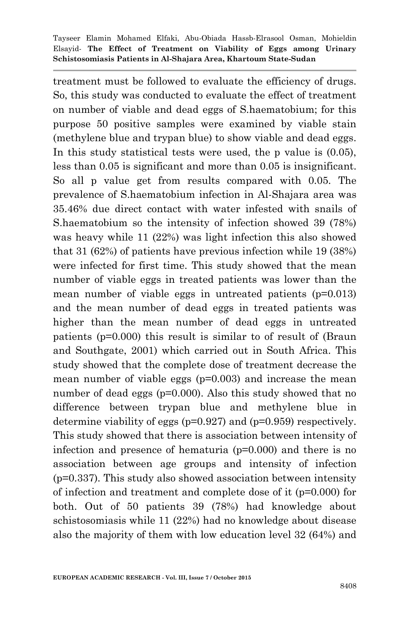treatment must be followed to evaluate the efficiency of drugs. So, this study was conducted to evaluate the effect of treatment on number of viable and dead eggs of S.haematobium; for this purpose 50 positive samples were examined by viable stain (methylene blue and trypan blue) to show viable and dead eggs. In this study statistical tests were used, the p value is (0.05), less than 0.05 is significant and more than 0.05 is insignificant. So all p value get from results compared with 0.05. The prevalence of S.haematobium infection in Al-Shajara area was 35.46% due direct contact with water infested with snails of S.haematobium so the intensity of infection showed 39 (78%) was heavy while 11 (22%) was light infection this also showed that 31 (62%) of patients have previous infection while 19 (38%) were infected for first time. This study showed that the mean number of viable eggs in treated patients was lower than the mean number of viable eggs in untreated patients (p=0.013) and the mean number of dead eggs in treated patients was higher than the mean number of dead eggs in untreated patients (p=0.000) this result is similar to of result of (Braun and Southgate, 2001) which carried out in South Africa. This study showed that the complete dose of treatment decrease the mean number of viable eggs (p=0.003) and increase the mean number of dead eggs (p=0.000). Also this study showed that no difference between trypan blue and methylene blue in determine viability of eggs ( $p=0.927$ ) and ( $p=0.959$ ) respectively. This study showed that there is association between intensity of infection and presence of hematuria (p=0.000) and there is no association between age groups and intensity of infection (p=0.337). This study also showed association between intensity of infection and treatment and complete dose of it (p=0.000) for both. Out of 50 patients 39 (78%) had knowledge about schistosomiasis while 11 (22%) had no knowledge about disease also the majority of them with low education level 32 (64%) and